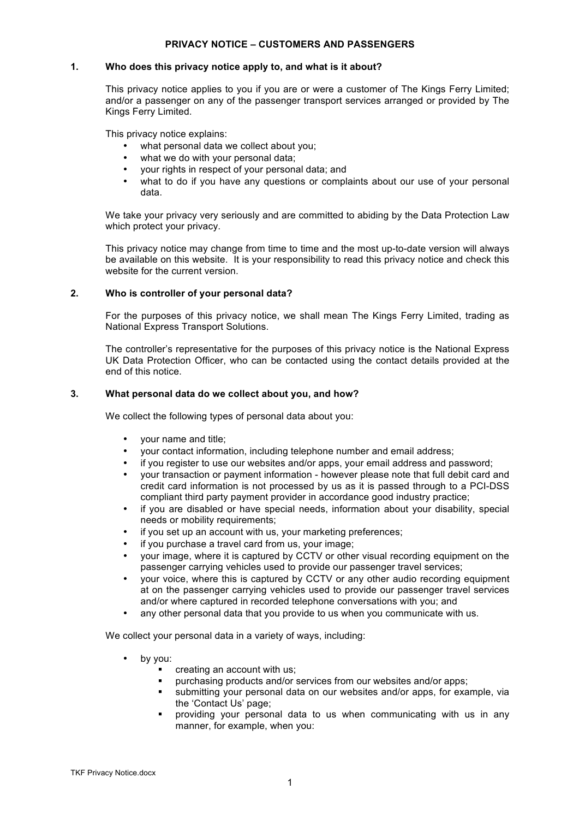# **PRIVACY NOTICE – CUSTOMERS AND PASSENGERS**

# **1. Who does this privacy notice apply to, and what is it about?**

This privacy notice applies to you if you are or were a customer of The Kings Ferry Limited; and/or a passenger on any of the passenger transport services arranged or provided by The Kings Ferry Limited.

This privacy notice explains:

- what personal data we collect about you;
- what we do with your personal data;
- your rights in respect of your personal data; and
- what to do if you have any questions or complaints about our use of your personal data.

We take your privacy very seriously and are committed to abiding by the Data Protection Law which protect your privacy.

This privacy notice may change from time to time and the most up-to-date version will always be available on this website. It is your responsibility to read this privacy notice and check this website for the current version.

# **2. Who is controller of your personal data?**

For the purposes of this privacy notice, we shall mean The Kings Ferry Limited, trading as National Express Transport Solutions.

The controller's representative for the purposes of this privacy notice is the National Express UK Data Protection Officer, who can be contacted using the contact details provided at the end of this notice.

## **3. What personal data do we collect about you, and how?**

We collect the following types of personal data about you:

- your name and title;
- your contact information, including telephone number and email address;
- if you register to use our websites and/or apps, your email address and password;
- your transaction or payment information however please note that full debit card and credit card information is not processed by us as it is passed through to a PCI-DSS compliant third party payment provider in accordance good industry practice;
- if you are disabled or have special needs, information about your disability, special needs or mobility requirements;
- if you set up an account with us, your marketing preferences;
- if you purchase a travel card from us, your image;
- your image, where it is captured by CCTV or other visual recording equipment on the passenger carrying vehicles used to provide our passenger travel services;
- your voice, where this is captured by CCTV or any other audio recording equipment at on the passenger carrying vehicles used to provide our passenger travel services and/or where captured in recorded telephone conversations with you; and
- any other personal data that you provide to us when you communicate with us.

We collect your personal data in a variety of ways, including:

- by you:
	- ! creating an account with us;
	- purchasing products and/or services from our websites and/or apps;
	- ! submitting your personal data on our websites and/or apps, for example, via the 'Contact Us' page;
	- providing your personal data to us when communicating with us in any manner, for example, when you: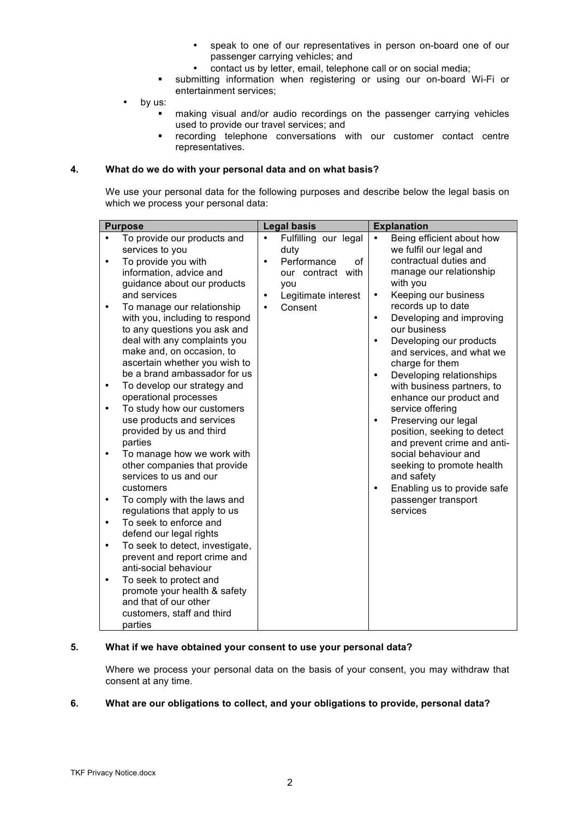- speak to one of our representatives in person on-board one of our passenger carrying vehicles; and
- contact us by letter, email, telephone call or on social media;
- ! submitting information when registering or using our on-board Wi-Fi or entertainment services;
- by us:
	- making visual and/or audio recordings on the passenger carrying vehicles used to provide our travel services; and
	- ! recording telephone conversations with our customer contact centre representatives.

## **4. What do we do with your personal data and on what basis?**

We use your personal data for the following purposes and describe below the legal basis on which we process your personal data:

## **5. What if we have obtained your consent to use your personal data?**

Where we process your personal data on the basis of your consent, you may withdraw that consent at any time.

# **6. What are our obligations to collect, and your obligations to provide, personal data?**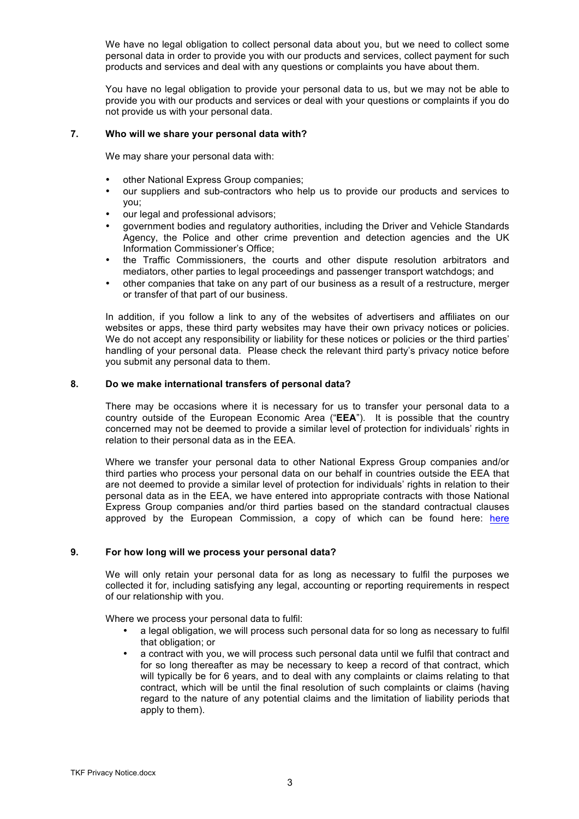We have no legal obligation to collect personal data about you, but we need to collect some personal data in order to provide you with our products and services, collect payment for such products and services and deal with any questions or complaints you have about them.

You have no legal obligation to provide your personal data to us, but we may not be able to provide you with our products and services or deal with your questions or complaints if you do not provide us with your personal data.

### **7. Who will we share your personal data with?**

We may share your personal data with:

- other National Express Group companies;
- our suppliers and sub-contractors who help us to provide our products and services to you;
- our legal and professional advisors;
- government bodies and regulatory authorities, including the Driver and Vehicle Standards Agency, the Police and other crime prevention and detection agencies and the UK Information Commissioner's Office;
- the Traffic Commissioners, the courts and other dispute resolution arbitrators and mediators, other parties to legal proceedings and passenger transport watchdogs; and
- other companies that take on any part of our business as a result of a restructure, merger or transfer of that part of our business.

In addition, if you follow a link to any of the websites of advertisers and affiliates on our websites or apps, these third party websites may have their own privacy notices or policies. We do not accept any responsibility or liability for these notices or policies or the third parties' handling of your personal data. Please check the relevant third party's privacy notice before you submit any personal data to them.

#### **8. Do we make international transfers of personal data?**

There may be occasions where it is necessary for us to transfer your personal data to a country outside of the European Economic Area ("**EEA**"). It is possible that the country concerned may not be deemed to provide a similar level of protection for individuals' rights in relation to their personal data as in the EEA.

Where we transfer your personal data to other National Express Group companies and/or third parties who process your personal data on our behalf in countries outside the EEA that are not deemed to provide a similar level of protection for individuals' rights in relation to their personal data as in the EEA, we have entered into appropriate contracts with those National Express Group companies and/or third parties based on the standard contractual clauses approved by the European Commission, a copy of which can be found here: here

#### **9. For how long will we process your personal data?**

We will only retain your personal data for as long as necessary to fulfil the purposes we collected it for, including satisfying any legal, accounting or reporting requirements in respect of our relationship with you.

Where we process your personal data to fulfil:

- a legal obligation, we will process such personal data for so long as necessary to fulfil that obligation; or
- a contract with you, we will process such personal data until we fulfil that contract and for so long thereafter as may be necessary to keep a record of that contract, which will typically be for 6 years, and to deal with any complaints or claims relating to that contract, which will be until the final resolution of such complaints or claims (having regard to the nature of any potential claims and the limitation of liability periods that apply to them).